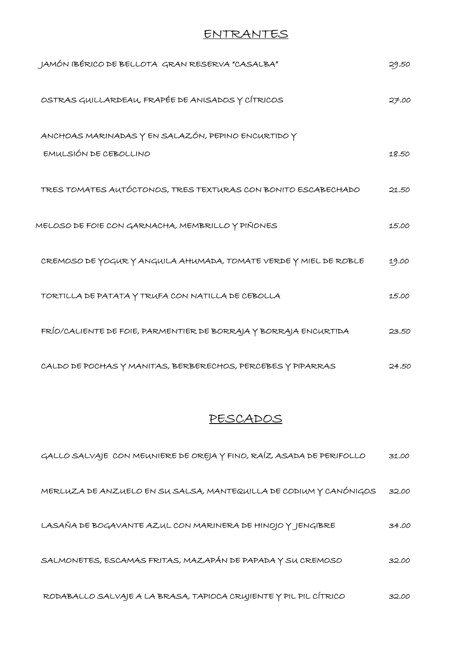## ENTRANTES

| JAMÓN IBÉRICO DE BELLOTA GRAN RESERVA "CASALBA"                  | 29.50 |
|------------------------------------------------------------------|-------|
| OSTRAS GUILLARDEAU, FRAPÉE DE ANISADOS Y CÍTRICOS                | 27.00 |
| ANCHOAS MARINADAS Y EN SALAZÓN, PEPINO ENCURTIDO Y               |       |
| EMULSIÓN DE CEBOLLINO                                            | 18.50 |
| TRES TOMATES AUTÓCTONOS, TRES TEXTURAS CON BONITO ESCABECHADO    | 21.50 |
| MELOSO DE FOIE CON GARNACHA, MEMBRILLO Y PIÑONES                 | 15.00 |
| CREMOSO DE YOGUR Y ANGUILA AHUMADA, TOMATE VERDE Y MIEL DE ROBLE | 19.00 |
| TORTILLA DE PATATA Y TRUFA CON NATILLA DE CEBOLLA                | 15.00 |
| FRÍO/CALIENTE DE FOIE, PARMENTIER DE BORRAJA Y BORRAJA ENCURTIDA | 23.50 |
| CALDO DE POCHAS Y MANITAS, BERBERECHOS, PERCEBES Y PIPARRAS      | 24.50 |

## PESCADOS

| GALLO SALVAJE CON MEUNIERE DE OREJA Y FINO, RAÍZ ASADA DE PERIFOLLO | 31.00 |
|---------------------------------------------------------------------|-------|
| MERLUZA DE ANZUELO EN SU SALSA, MANTEQUILLA DE CODIUM Y CANÓNIGOS   | 32.00 |
| LASAÑA DE BOGAVANTE AZUL CON MARINERA DE HINOJO Y JENGIBRE          | 34.00 |
| SALMONETES, ESCAMAS FRITAS, MAZAPÁN DE PAPADA Y SU CREMOSO          | 32.00 |
| RODABALLO SALVAJE A LA BRASA, TAPIOCA CRUJIENTE Y PIL PIL CÍTRICO   | 32.00 |